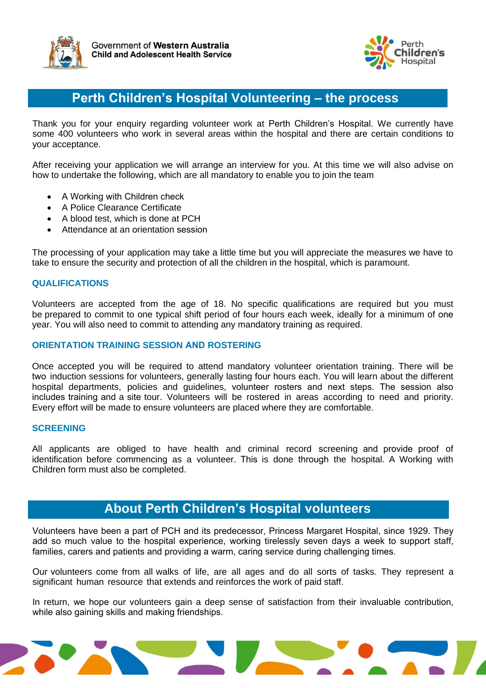



## **Perth Children's Hospital Volunteering – the process**

Thank you for your enquiry regarding volunteer work at Perth Children's Hospital. We currently have some 400 volunteers who work in several areas within the hospital and there are certain conditions to your acceptance.

After receiving your application we will arrange an interview for you. At this time we will also advise on how to undertake the following, which are all mandatory to enable you to join the team

- A Working with Children check
- A Police Clearance Certificate
- A blood test, which is done at PCH
- Attendance at an orientation session

The processing of your application may take a little time but you will appreciate the measures we have to take to ensure the security and protection of all the children in the hospital, which is paramount.

#### **QUALIFICATIONS**

Volunteers are accepted from the age of 18. No specific qualifications are required but you must be prepared to commit to one typical shift period of four hours each week, ideally for a minimum of one year. You will also need to commit to attending any mandatory training as required.

#### **ORIENTATION TRAINING SESSION AND ROSTERING**

Once accepted you will be required to attend mandatory volunteer orientation training. There will be two induction sessions for volunteers, generally lasting four hours each. You will learn about the different hospital departments, policies and guidelines, volunteer rosters and next steps. The session also includes training and a site tour. Volunteers will be rostered in areas according to need and priority. Every effort will be made to ensure volunteers are placed where they are comfortable.

#### **SCREENING**

All applicants are obliged to have health and criminal record screening and provide proof of identification before commencing as a volunteer. This is done through the hospital. A Working with Children form must also be completed.

## **About Perth Children's Hospital volunteers**

Volunteers have been a part of PCH and its predecessor, Princess Margaret Hospital, since 1929. They add so much value to the hospital experience, working tirelessly seven days a week to support staff, families, carers and patients and providing a warm, caring service during challenging times.

Our volunteers come from all walks of life, are all ages and do all sorts of tasks. They represent a significant human resource that extends and reinforces the work of paid staff.

In return, we hope our volunteers gain a deep sense of satisfaction from their invaluable contribution, while also gaining skills and making friendships.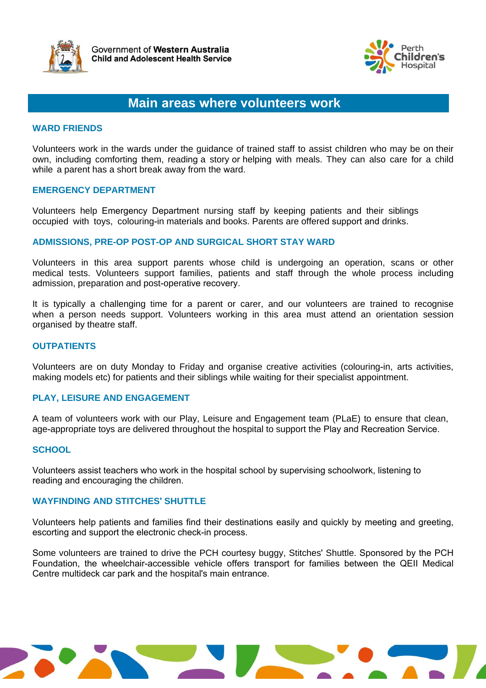



### **Main areas where volunteers work**

#### **WARD FRIENDS**

Volunteers work in the wards under the guidance of trained staff to assist children who may be on their own, including comforting them, reading a story or helping with meals. They can also care for a child while a parent has a short break away from the ward.

#### **EMERGENCY DEPARTMENT**

Volunteers help Emergency Department nursing staff by keeping patients and their siblings occupied with toys, colouring-in materials and books. Parents are offered support and drinks.

#### **ADMISSIONS, PRE-OP POST-OP AND SURGICAL SHORT STAY WARD**

Volunteers in this area support parents whose child is undergoing an operation, scans or other medical tests. Volunteers support families, patients and staff through the whole process including admission, preparation and post-operative recovery.

It is typically a challenging time for a parent or carer, and our volunteers are trained to recognise when a person needs support. Volunteers working in this area must attend an orientation session organised by theatre staff.

#### **OUTPATIENTS**

Volunteers are on duty Monday to Friday and organise creative activities (colouring-in, arts activities, making models etc) for patients and their siblings while waiting for their specialist appointment.

#### **PLAY, LEISURE AND ENGAGEMENT**

A team of volunteers work with our Play, Leisure and Engagement team (PLaE) to ensure that clean, age-appropriate toys are delivered throughout the hospital to support the Play and Recreation Service.

#### **SCHOOL**

Volunteers assist teachers who work in the hospital school by supervising schoolwork, listening to reading and encouraging the children.

#### **WAYFINDING AND STITCHES' SHUTTLE**

Volunteers help patients and families find their destinations easily and quickly by meeting and greeting, escorting and support the electronic check-in process.

Some volunteers are trained to drive the PCH courtesy buggy, Stitches' Shuttle. Sponsored by the PCH Foundation, the wheelchair-accessible vehicle offers transport for families between the QEII Medical Centre multideck car park and the hospital's main entrance.

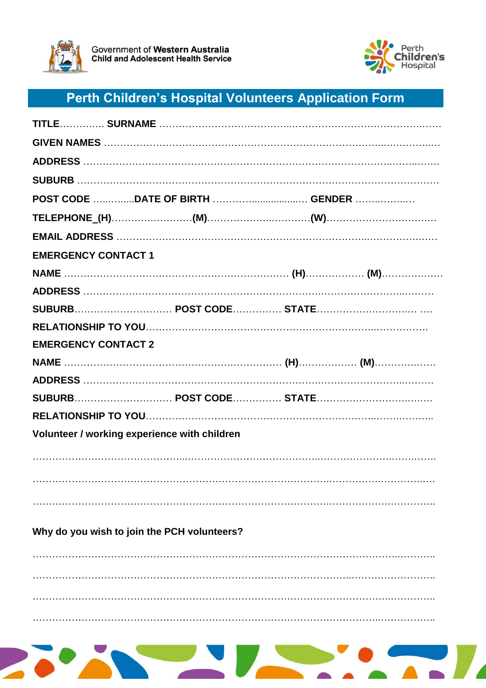



# Perth Children's Hospital Volunteers Application Form

| POST CODE DATE OF BIRTH  GENDER              |  |  |
|----------------------------------------------|--|--|
|                                              |  |  |
|                                              |  |  |
| <b>EMERGENCY CONTACT 1</b>                   |  |  |
|                                              |  |  |
|                                              |  |  |
|                                              |  |  |
|                                              |  |  |
| <b>EMERGENCY CONTACT 2</b>                   |  |  |
|                                              |  |  |
|                                              |  |  |
| SUBURB POST CODE STATE                       |  |  |
|                                              |  |  |
| Volunteer / working experience with children |  |  |
|                                              |  |  |
|                                              |  |  |
|                                              |  |  |
|                                              |  |  |
| Why do you wish to join the PCH volunteers?  |  |  |
|                                              |  |  |
|                                              |  |  |